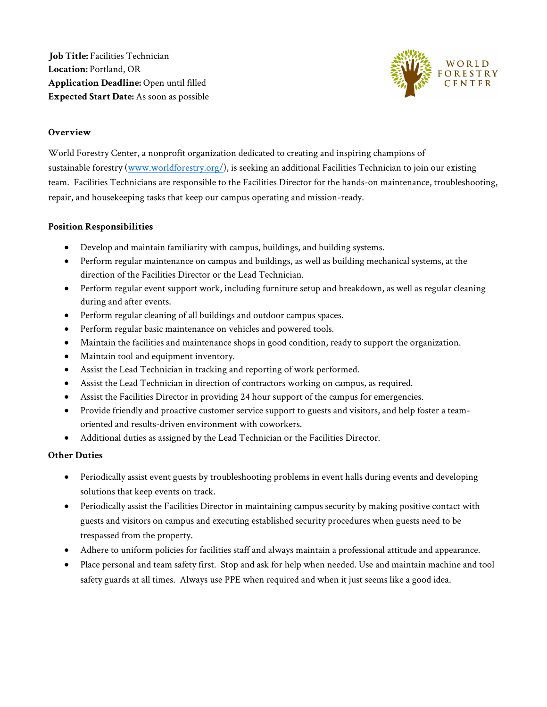**Job Title:** Facilities Technician **Location:** Portland, OR **Application Deadline:** Open until filled **Expected Start Date:** As soon as possible



# **Overview**

World Forestry Center, a nonprofit organization dedicated to creating and inspiring champions of sustainable forestry [\(www.worldforestry.org/\)](http://www.worldforestry.org/), is seeking an additional Facilities Technician to join our existing team. Facilities Technicians are responsible to the Facilities Director for the hands-on maintenance, troubleshooting, repair, and housekeeping tasks that keep our campus operating and mission-ready.

# **Position Responsibilities**

- Develop and maintain familiarity with campus, buildings, and building systems.
- Perform regular maintenance on campus and buildings, as well as building mechanical systems, at the direction of the Facilities Director or the Lead Technician.
- Perform regular event support work, including furniture setup and breakdown, as well as regular cleaning during and after events.
- Perform regular cleaning of all buildings and outdoor campus spaces.
- Perform regular basic maintenance on vehicles and powered tools.
- Maintain the facilities and maintenance shops in good condition, ready to support the organization.
- Maintain tool and equipment inventory.
- Assist the Lead Technician in tracking and reporting of work performed.
- Assist the Lead Technician in direction of contractors working on campus, as required.
- Assist the Facilities Director in providing 24 hour support of the campus for emergencies.
- Provide friendly and proactive customer service support to guests and visitors, and help foster a teamoriented and results-driven environment with coworkers.
- Additional duties as assigned by the Lead Technician or the Facilities Director.

# **Other Duties**

- Periodically assist event guests by troubleshooting problems in event halls during events and developing solutions that keep events on track.
- Periodically assist the Facilities Director in maintaining campus security by making positive contact with guests and visitors on campus and executing established security procedures when guests need to be trespassed from the property.
- Adhere to uniform policies for facilities staff and always maintain a professional attitude and appearance.
- Place personal and team safety first. Stop and ask for help when needed. Use and maintain machine and tool safety guards at all times. Always use PPE when required and when it just seems like a good idea.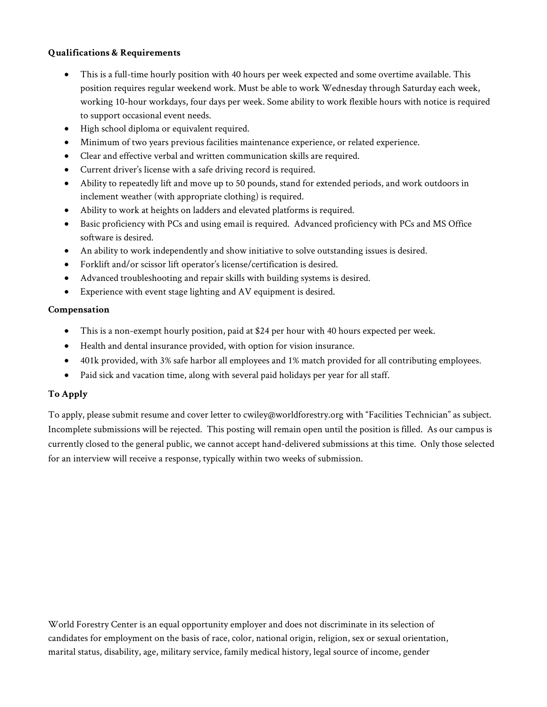# **Qualifications & Requirements**

- This is a full-time hourly position with 40 hours per week expected and some overtime available. This position requires regular weekend work. Must be able to work Wednesday through Saturday each week, working 10-hour workdays, four days per week. Some ability to work flexible hours with notice is required to support occasional event needs.
- High school diploma or equivalent required.
- Minimum of two years previous facilities maintenance experience, or related experience.
- Clear and effective verbal and written communication skills are required.
- Current driver's license with a safe driving record is required.
- Ability to repeatedly lift and move up to 50 pounds, stand for extended periods, and work outdoors in inclement weather (with appropriate clothing) is required.
- Ability to work at heights on ladders and elevated platforms is required.
- Basic proficiency with PCs and using email is required. Advanced proficiency with PCs and MS Office software is desired.
- An ability to work independently and show initiative to solve outstanding issues is desired.
- Forklift and/or scissor lift operator's license/certification is desired.
- Advanced troubleshooting and repair skills with building systems is desired.
- Experience with event stage lighting and AV equipment is desired.

# **Compensation**

- This is a non-exempt hourly position, paid at \$24 per hour with 40 hours expected per week.
- Health and dental insurance provided, with option for vision insurance.
- 401k provided, with 3% safe harbor all employees and 1% match provided for all contributing employees.
- Paid sick and vacation time, along with several paid holidays per year for all staff.

# **To Apply**

To apply, please submit resume and cover letter to cwiley@worldforestry.org with "Facilities Technician" as subject. Incomplete submissions will be rejected. This posting will remain open until the position is filled. As our campus is currently closed to the general public, we cannot accept hand-delivered submissions at this time. Only those selected for an interview will receive a response, typically within two weeks of submission.

World Forestry Center is an equal opportunity employer and does not discriminate in its selection of candidates for employment on the basis of race, color, national origin, religion, sex or sexual orientation, marital status, disability, age, military service, family medical history, legal source of income, gender